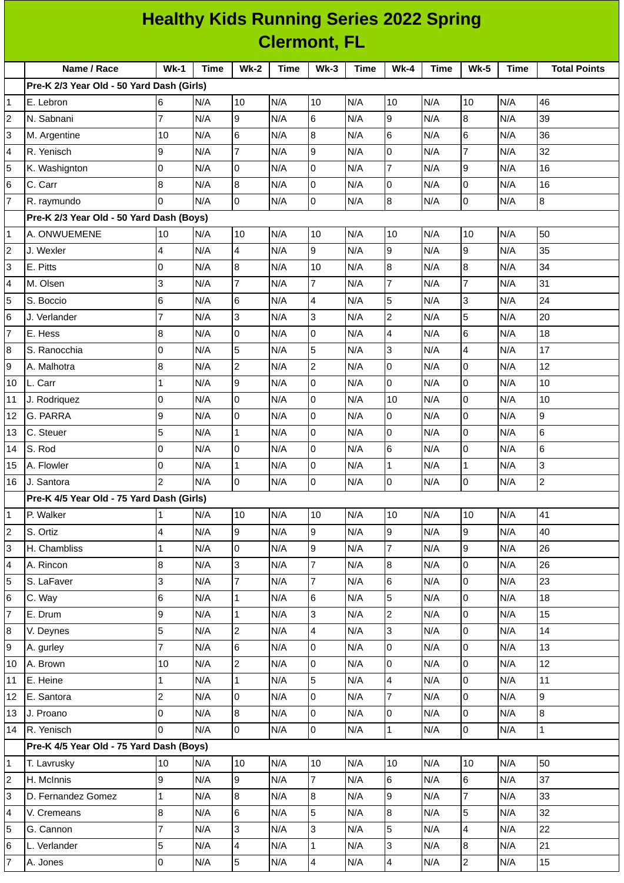| <b>Healthy Kids Running Series 2022 Spring</b> |                                           |                |             |                     |             |                |             |                          |             |                |             |                     |
|------------------------------------------------|-------------------------------------------|----------------|-------------|---------------------|-------------|----------------|-------------|--------------------------|-------------|----------------|-------------|---------------------|
|                                                | <b>Clermont, FL</b>                       |                |             |                     |             |                |             |                          |             |                |             |                     |
|                                                | Name / Race                               | $Wk-1$         | <b>Time</b> | <b>Wk-2</b>         | <b>Time</b> | $Wk-3$         | <b>Time</b> | $Wk-4$                   | <b>Time</b> | $Wk-5$         | <b>Time</b> | <b>Total Points</b> |
|                                                | Pre-K 2/3 Year Old - 50 Yard Dash (Girls) |                |             |                     |             |                |             |                          |             |                |             |                     |
| 1                                              | E. Lebron                                 | 6              | N/A         | 10                  | N/A         | 10             | N/A         | 10                       | N/A         | 10             | N/A         | 46                  |
| $\overline{c}$                                 | N. Sabnani                                | $\overline{7}$ | N/A         | 9                   | N/A         | 6              | N/A         | 9                        | N/A         | 8              | N/A         | 39                  |
| 3                                              | M. Argentine                              | 10             | N/A         | 6                   | N/A         | 8              | N/A         | 6                        | N/A         | 6              | N/A         | 36                  |
| 4                                              | R. Yenisch                                | 9              | N/A         | $\overline{7}$      | N/A         | 9              | N/A         | 0                        | N/A         | $\overline{7}$ | N/A         | 32                  |
| 5                                              | K. Washignton                             | 0              | N/A         | 0                   | N/A         | 0              | N/A         | $\overline{7}$           | N/A         | 9              | N/A         | 16                  |
| 6                                              | C. Carr                                   | 8              | N/A         | $\overline{8}$      | N/A         | 0              | N/A         | 0                        | N/A         | lo             | N/A         | 16                  |
| $\overline{7}$                                 | R. raymundo                               | $\Omega$       | N/A         | lo                  | N/A         | 0              | N/A         | 8                        | N/A         | l0             | N/A         | $\boldsymbol{8}$    |
|                                                | Pre-K 2/3 Year Old - 50 Yard Dash (Boys)  |                |             |                     |             |                |             |                          |             |                |             |                     |
| 1                                              | A. ONWUEMENE                              | 10             | N/A         | 10                  | N/A         | 10             | N/A         | 10                       | N/A         | 10             | N/A         | 50                  |
| $\overline{c}$                                 | J. Wexler                                 | 4              | N/A         | 4                   | N/A         | 9              | N/A         | 9                        | N/A         | 9              | N/A         | 35                  |
| 3                                              | E. Pitts                                  | 0              | N/A         | $\overline{8}$      | N/A         | 10             | N/A         | 8                        | N/A         | 8              | N/A         | 34                  |
| 4                                              | M. Olsen                                  | 3              | N/A         | $\overline{7}$      | N/A         | $\overline{7}$ | N/A         | $\overline{7}$           | N/A         | $\overline{7}$ | N/A         | 31                  |
| 5                                              | S. Boccio                                 | 6              | N/A         | 6                   | N/A         | 4              | N/A         | 5                        | N/A         | 3              | N/A         | 24                  |
| 6                                              | J. Verlander                              | $\overline{7}$ | N/A         | 3                   | N/A         | 3              | N/A         | $\overline{c}$           | N/A         | 5              | N/A         | 20                  |
| 7                                              | E. Hess                                   | 8              | N/A         | 0                   | N/A         | 0              | N/A         | $\overline{\mathcal{L}}$ | N/A         | 6              | N/A         | 18                  |
| 8                                              | S. Ranocchia                              | O              | N/A         | 5                   | N/A         | 5              | N/A         | 3                        | N/A         | $\overline{4}$ | N/A         | 17                  |
| 9                                              | A. Malhotra                               | $\bf{8}$       | N/A         | $\overline{c}$      | N/A         | $\overline{c}$ | N/A         | 0                        | N/A         | l0             | N/A         | 12                  |
| 10                                             | L. Carr                                   | 1              | N/A         | 9                   | N/A         | 0              | N/A         | 0                        | N/A         | $\mathsf{O}$   | N/A         | $10\,$              |
| 11                                             | J. Rodriguez                              | 0              | N/A         | $\overline{0}$      | N/A         | 0              | N/A         | 10                       | N/A         | O              | N/A         | 10                  |
| 12                                             | G. PARRA                                  | 9              | N/A         | O                   | N/A         | 0              | N/A         | 0                        | N/A         | 0              | N/A         | $\boldsymbol{9}$    |
| 13                                             | C. Steuer                                 | 5              | N/A         | $\mathbf 1$         | N/A         | 0              | N/A         | 0                        | N/A         | $\overline{0}$ | N/A         | 6                   |
| 14                                             | S. Rod                                    | $\overline{0}$ | N/A         | $\mathsf{O}\xspace$ | N/A         | 0              | N/A         | 6                        | N/A         | $\overline{0}$ | N/A         | $\,6$               |
| 15                                             | A. Flowler                                | $\overline{0}$ | N/A         | $\mathbf{1}$        | N/A         | 0              | N/A         | $\mathbf{1}$             | N/A         | $\mathbf{1}$   | N/A         | 3                   |
| 16                                             | J. Santora                                | $\overline{2}$ | N/A         | 0                   | N/A         | $\overline{0}$ | N/A         | $\mathsf{O}\xspace$      | N/A         | 0              | N/A         | $\overline{c}$      |
|                                                | Pre-K 4/5 Year Old - 75 Yard Dash (Girls) |                |             |                     |             |                |             |                          |             |                |             |                     |
| $\mathbf 1$                                    | P. Walker                                 | $\mathbf{1}$   | N/A         | 10                  | N/A         | 10             | N/A         | 10                       | N/A         | 10             | N/A         | 41                  |
| $\overline{c}$                                 | S. Ortiz                                  | 4              | N/A         | 9                   | N/A         | 9              | N/A         | 9                        | N/A         | g              | N/A         | 40                  |
| 3                                              | H. Chambliss                              | 1              | N/A         | O                   | N/A         | 9              | N/A         | $\overline{7}$           | N/A         | l9             | N/A         | 26                  |
| 4                                              | A. Rincon                                 | 8              | N/A         | 3                   | N/A         | $\overline{7}$ | N/A         | 8                        | N/A         | lo             | N/A         | 26                  |
| 5                                              | S. LaFaver                                | 3              | N/A         | $\overline{7}$      | N/A         | $\overline{7}$ | N/A         | 6                        | N/A         | lo             | N/A         | 23                  |
| 6                                              | C. Way                                    | 6              | N/A         | $\mathbf{1}$        | N/A         | 6              | N/A         | 5                        | N/A         | lo             | N/A         | 18                  |
| 7                                              | E. Drum                                   | 9              | N/A         | $\mathbf 1$         | N/A         | 3              | N/A         | $\overline{c}$           | N/A         | $\overline{0}$ | N/A         | 15                  |
| 8                                              | V. Deynes                                 | 5              | N/A         | $\overline{c}$      | N/A         | 4              | N/A         | 3                        | N/A         | lo             | N/A         | 14                  |
| 9                                              | A. gurley                                 | 7              | N/A         | 6                   | N/A         | 0              | N/A         | 0                        | N/A         | lo             | N/A         | 13                  |
| 10                                             | A. Brown                                  | 10             | N/A         | $\mathbf{2}$        | N/A         | 0              | N/A         | 0                        | N/A         | lo             | N/A         | 12                  |
| 11                                             | E. Heine                                  | $\mathbf{1}$   | N/A         | $\mathbf{1}$        | N/A         | 5              | N/A         | 4                        | N/A         | I٥             | N/A         | 11                  |
| 12                                             | E. Santora                                | $\overline{c}$ | N/A         | $\overline{0}$      | N/A         | $\overline{0}$ | N/A         | $\overline{7}$           | N/A         | lo             | N/A         | $\boldsymbol{9}$    |
| 13                                             | J. Proano                                 | 0              | N/A         | $\overline{8}$      | N/A         | $\overline{0}$ | N/A         | 0                        | N/A         | I٥             | N/A         | 8                   |
| 14                                             | R. Yenisch                                | 0              | N/A         | O                   | N/A         | 0              | N/A         | $\mathbf{1}$             | N/A         | lo             | N/A         | $\mathbf 1$         |
|                                                | Pre-K 4/5 Year Old - 75 Yard Dash (Boys)  |                |             |                     |             |                |             |                          |             |                |             |                     |
| $\mathbf 1$                                    | T. Lavrusky                               | 10             | N/A         | 10                  | N/A         | 10             | N/A         | 10                       | N/A         | 10             | N/A         | 50                  |
| $\overline{c}$                                 | H. McInnis                                | 9              | N/A         | 9                   | N/A         | $\overline{7}$ | N/A         | 6                        | N/A         | 6              | N/A         | 37                  |
| 3                                              | D. Fernandez Gomez                        | 1              | N/A         | $\bf{8}$            | N/A         | 8              | N/A         | 9                        | N/A         | $\overline{7}$ | N/A         | 33                  |
| 4                                              | V. Cremeans                               | 8              | N/A         | 6                   | N/A         | 5              | N/A         | 8                        | N/A         | 5              | N/A         | 32                  |
| 5                                              | G. Cannon                                 | 7              | N/A         | 3                   | N/A         | 3              | N/A         | 5                        | N/A         | $\overline{4}$ | N/A         | 22                  |
| 6                                              | L. Verlander                              | 5              | N/A         | 4                   | N/A         | $\mathbf{1}$   | N/A         | 3                        | N/A         | $\overline{8}$ | N/A         | 21                  |
| 7                                              | A. Jones                                  | $\overline{0}$ | N/A         | 5                   | N/A         | $\overline{4}$ | N/A         | $\overline{\mathbf{4}}$  | N/A         | $\overline{2}$ | N/A         | 15                  |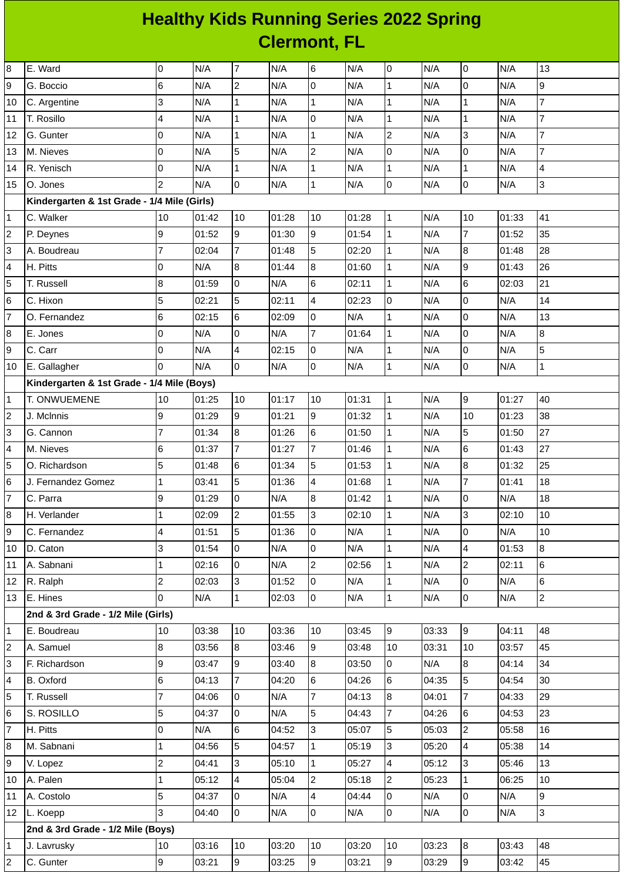## **Healthy Kids Running Series 2022 Spring Clermont, FL**

| 8                       | E. Ward                                     | 0              | N/A   | $\overline{7}$ | N/A   | 6               | N/A   | 0              | N/A   | 0              | N/A   | 13             |
|-------------------------|---------------------------------------------|----------------|-------|----------------|-------|-----------------|-------|----------------|-------|----------------|-------|----------------|
| 9                       | G. Boccio                                   | 6              | N/A   | $\overline{c}$ | N/A   | $\overline{0}$  | N/A   | $\mathbf{1}$   | N/A   | 0              | N/A   | 9              |
| 10                      | C. Argentine                                | 3              | N/A   | $\mathbf 1$    | N/A   | $\mathbf{1}$    | N/A   | $\mathbf 1$    | N/A   | $\mathbf 1$    | N/A   | $\overline{7}$ |
| 11                      | T. Rosillo                                  | 4              | N/A   | $\mathbf{1}$   | N/A   | $\pmb{0}$       | N/A   | $\mathbf 1$    | N/A   | $\mathbf{1}$   | N/A   | $\overline{7}$ |
| 12                      | G. Gunter                                   | 0              | N/A   | $\mathbf{1}$   | N/A   | $\mathbf{1}$    | N/A   | $\overline{2}$ | N/A   | 3              | N/A   | $\overline{7}$ |
| 13                      | M. Nieves                                   | 0              | N/A   | 5              | N/A   | $\overline{c}$  | N/A   | 0              | N/A   | 0              | N/A   | $\overline{7}$ |
| 14                      | R. Yenisch                                  | 0              | N/A   | $\mathbf 1$    | N/A   | $\mathbf 1$     | N/A   | $\mathbf{1}$   | N/A   | $\mathbf 1$    | N/A   | 4              |
| 15                      | O. Jones                                    | $\overline{2}$ | N/A   | 0              | N/A   | $\mathbf{1}$    | N/A   | 0              | N/A   | 0              | N/A   | 3              |
|                         | Kindergarten & 1st Grade - 1/4 Mile (Girls) |                |       |                |       |                 |       |                |       |                |       |                |
| $\mathbf{1}$            | C. Walker                                   | 10             | 01:42 | 10             | 01:28 | 10              | 01:28 | $\mathbf{1}$   | N/A   | 10             | 01:33 | 41             |
| $\overline{\mathbf{c}}$ | P. Deynes                                   | 9              | 01:52 | 9              | 01:30 | 9               | 01:54 | $\mathbf 1$    | N/A   | $\overline{7}$ | 01:52 | 35             |
| 3                       | A. Boudreau                                 | $\overline{7}$ | 02:04 | $\overline{7}$ | 01:48 | 5               | 02:20 | $\mathbf{1}$   | N/A   | 8              | 01:48 | 28             |
| 4                       | H. Pitts                                    | 0              | N/A   | 8              | 01:44 | 8               | 01:60 | $\mathbf{1}$   | N/A   | 9              | 01:43 | 26             |
| 5                       | T. Russell                                  | 8              | 01:59 | 0              | N/A   | $6\phantom{.}6$ | 02:11 | $\mathbf{1}$   | N/A   | 6              | 02:03 | 21             |
| $\,$ 6                  | C. Hixon                                    | 5              | 02:21 | 5              | 02:11 | $\overline{4}$  | 02:23 | $\overline{0}$ | N/A   | 0              | N/A   | $14\,$         |
| $\overline{7}$          | O. Fernandez                                | 6              | 02:15 | 6              | 02:09 | $\mathsf{O}$    | N/A   | $\mathbf{1}$   | N/A   | 0              | N/A   | 13             |
| 8                       | E. Jones                                    | 0              | N/A   | 0              | N/A   | $\overline{7}$  | 01:64 | $\mathbf{1}$   | N/A   | 0              | N/A   | 8              |
| 9                       | C. Carr                                     | 0              | N/A   | 4              | 02:15 | $\mathsf 0$     | N/A   | $\mathbf 1$    | N/A   | 0              | N/A   | 5              |
| 10                      | E. Gallagher                                | $\Omega$       | N/A   | 0              | N/A   | $\mathsf 0$     | N/A   | $\mathbf 1$    | N/A   | 0              | N/A   | $\mathbf 1$    |
|                         | Kindergarten & 1st Grade - 1/4 Mile (Boys)  |                |       |                |       |                 |       |                |       |                |       |                |
| 1                       | T. ONWUEMENE                                | 10             | 01:25 | 10             | 01:17 | 10              | 01:31 | $\mathbf 1$    | N/A   | 9              | 01:27 | 40             |
| 2                       | J. McInnis                                  | 9              | 01:29 | 9              | 01:21 | 9               | 01:32 | $\mathbf{1}$   | N/A   | 10             | 01:23 | 38             |
| 3                       | G. Cannon                                   | 7              | 01:34 | 8              | 01:26 | 6               | 01:50 | $\mathbf{1}$   | N/A   | 5              | 01:50 | 27             |
| 4                       | M. Nieves                                   | 6              | 01:37 | $\overline{7}$ | 01:27 | $\overline{7}$  | 01:46 | $\mathbf{1}$   | N/A   | 6              | 01:43 | 27             |
| 5                       | O. Richardson                               | 5              | 01:48 | 6              | 01:34 | 5               | 01:53 | $\mathbf{1}$   | N/A   | 8              | 01:32 | 25             |
| 6                       | J. Fernandez Gomez                          | 1              | 03:41 | 5              | 01:36 | 4               | 01:68 | $\mathbf{1}$   | N/A   | $\overline{7}$ | 01:41 | 18             |
| 7                       | C. Parra                                    | 9              | 01:29 | 0              | N/A   | $\bf{8}$        | 01:42 | $\mathbf{1}$   | N/A   | 0              | N/A   | 18             |
| 8                       | H. Verlander                                | 1              | 02:09 | $\overline{c}$ | 01:55 | 3               | 02:10 | $\mathbf{1}$   | N/A   | 3              | 02:10 | 10             |
| 9                       | C. Fernandez                                | 4              | 01:51 | 5              | 01:36 | l0              | N/A   | $\mathbf{1}$   | N/A   | 0              | N/A   | $10\,$         |
| 10                      | D. Caton                                    | 3              | 01:54 | 0              | N/A   | 0               | N/A   | $\mathbf 1$    | N/A   | 4              | 01:53 | 8              |
| 11                      | A. Sabnani                                  | $\mathbf 1$    | 02:16 | 0              | N/A   | $\overline{c}$  | 02:56 | $\mathbf{1}$   | N/A   | $\overline{c}$ | 02:11 | 6              |
| 12                      | R. Ralph                                    | $\overline{c}$ | 02:03 | 3              | 01:52 | 0               | N/A   | $\mathbf{1}$   | N/A   | 0              | N/A   | 6              |
| 13                      | E. Hines                                    | $\Omega$       | N/A   | $\mathbf{1}$   | 02:03 | l0              | N/A   | $\mathbf{1}$   | N/A   | 0              | N/A   | $\overline{2}$ |
|                         | 2nd & 3rd Grade - 1/2 Mile (Girls)          |                |       |                |       |                 |       |                |       |                |       |                |
| 1                       | E. Boudreau                                 | 10             | 03:38 | 10             | 03:36 | 10              | 03:45 | 9              | 03:33 | 9              | 04:11 | 48             |
| $\overline{c}$          | A. Samuel                                   | 8              | 03:56 | 8              | 03:46 | $\overline{9}$  | 03:48 | 10             | 03:31 | 10             | 03:57 | 45             |
| 3                       | F. Richardson                               | 9              | 03:47 | 9              | 03:40 | 8               | 03:50 | $\Omega$       | N/A   | 8              | 04:14 | 34             |
| 4                       | B. Oxford                                   | 6              | 04:13 | $\overline{7}$ | 04:20 | $\,6$           | 04:26 | 6              | 04:35 | 5              | 04:54 | 30             |
| 5                       | T. Russell                                  | 7              | 04:06 | 0              | N/A   | 7               | 04:13 | 8              | 04:01 | $\overline{7}$ | 04:33 | 29             |
| 6                       | S. ROSILLO                                  | 5              | 04:37 | 0              | N/A   | 5               | 04:43 | $\overline{7}$ | 04:26 | 6              | 04:53 | 23             |
| 7                       | H. Pitts                                    | 0              | N/A   | 6              | 04:52 | 3               | 05:07 | 5              | 05:03 | $\overline{c}$ | 05:58 | 16             |
| 8                       | M. Sabnani                                  | 1              | 04:56 | 5              | 04:57 | $\mathbf{1}$    | 05:19 | 3              | 05:20 | 4              | 05:38 | 14             |
| 9                       | V. Lopez                                    | $\overline{c}$ | 04:41 | 3              | 05:10 | $\mathbf{1}$    | 05:27 | 4              | 05:12 | 3              | 05:46 | 13             |
| 10                      | A. Palen                                    | 1              | 05:12 | 4              | 05:04 | $\overline{2}$  | 05:18 | $\overline{2}$ | 05:23 | $\mathbf 1$    | 06:25 | $10\,$         |
| 11                      | A. Costolo                                  | 5              | 04:37 | 0              | N/A   | 4               | 04:44 | 0              | N/A   | 0              | N/A   | 9              |
| 12                      | L. Koepp                                    | 3              | 04:40 | $\pmb{0}$      | N/A   | $\overline{0}$  | N/A   | $\overline{0}$ | N/A   | 0              | N/A   | 3              |
|                         | 2nd & 3rd Grade - 1/2 Mile (Boys)           |                |       |                |       |                 |       |                |       |                |       |                |
| $\mathbf 1$             | J. Lavrusky                                 | 10             | 03:16 | 10             | 03:20 | 10              | 03:20 | 10             | 03:23 | 8              | 03:43 | 48             |
| $\overline{c}$          | C. Gunter                                   | 9              | 03:21 | $\overline{9}$ | 03:25 | 9               | 03:21 | 9              | 03:29 | 9              | 03:42 | 45             |
|                         |                                             |                |       |                |       |                 |       |                |       |                |       |                |